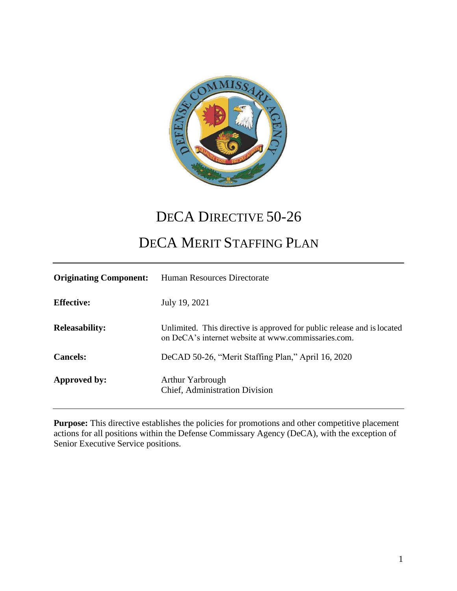

# DECA DIRECTIVE 50-26

# DECA MERIT STAFFING PLAN

| <b>Originating Component:</b> | Human Resources Directorate                                                                                                    |
|-------------------------------|--------------------------------------------------------------------------------------------------------------------------------|
| <b>Effective:</b>             | July 19, 2021                                                                                                                  |
| <b>Releasability:</b>         | Unlimited. This directive is approved for public release and is located<br>on DeCA's internet website at www.commissaries.com. |
| <b>Cancels:</b>               | DeCAD 50-26, "Merit Staffing Plan," April 16, 2020                                                                             |
| Approved by:                  | <b>Arthur Yarbrough</b><br>Chief, Administration Division                                                                      |

**Purpose:** This directive establishes the policies for promotions and other competitive placement actions for all positions within the Defense Commissary Agency (DeCA), with the exception of Senior Executive Service positions.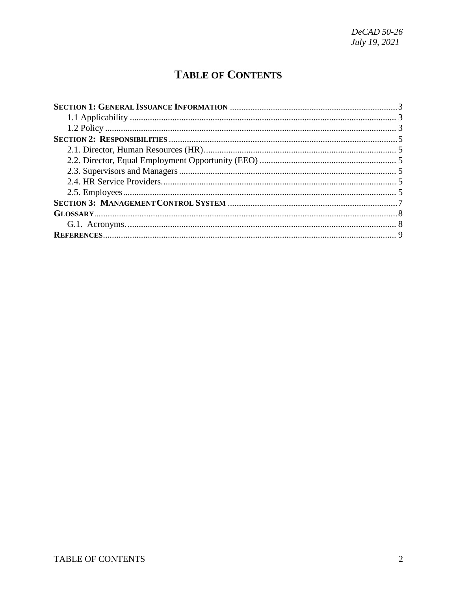# **TABLE OF CONTENTS**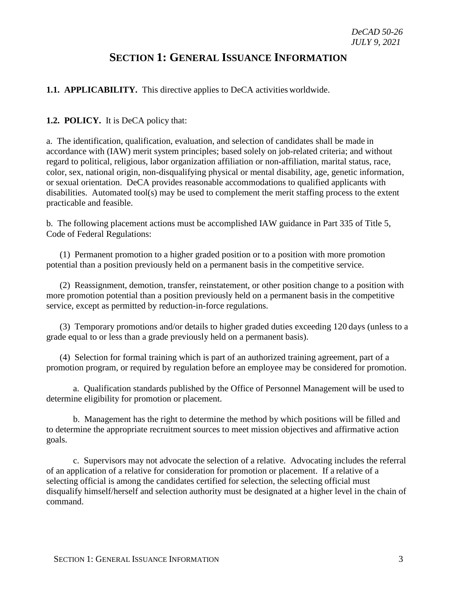## **SECTION 1: GENERAL ISSUANCE INFORMATION**

#### <span id="page-2-1"></span><span id="page-2-0"></span>**1.1. APPLICABILITY.** This directive applies to DeCA activities worldwide.

#### <span id="page-2-2"></span>**1.2. POLICY.** It is DeCA policy that:

a. The identification, qualification, evaluation, and selection of candidates shall be made in accordance with (IAW) merit system principles; based solely on job-related criteria; and without regard to political, religious, labor organization affiliation or non-affiliation, marital status, race, color, sex, national origin, non-disqualifying physical or mental disability, age, genetic information, or sexual orientation. DeCA provides reasonable accommodations to qualified applicants with disabilities. Automated tool(s) may be used to complement the merit staffing process to the extent practicable and feasible.

b. The following placement actions must be accomplished IAW guidance in Part 335 of Title 5, Code of Federal Regulations:

(1) Permanent promotion to a higher graded position or to a position with more promotion potential than a position previously held on a permanent basis in the competitive service.

(2) Reassignment, demotion, transfer, reinstatement, or other position change to a position with more promotion potential than a position previously held on a permanent basis in the competitive service, except as permitted by reduction-in-force regulations.

(3) Temporary promotions and/or details to higher graded duties exceeding 120 days (unless to a grade equal to or less than a grade previously held on a permanent basis).

(4) Selection for formal training which is part of an authorized training agreement, part of a promotion program, or required by regulation before an employee may be considered for promotion.

a. Qualification standards published by the Office of Personnel Management will be used to determine eligibility for promotion or placement.

b. Management has the right to determine the method by which positions will be filled and to determine the appropriate recruitment sources to meet mission objectives and affirmative action goals.

c. Supervisors may not advocate the selection of a relative. Advocating includes the referral of an application of a relative for consideration for promotion or placement. If a relative of a selecting official is among the candidates certified for selection, the selecting official must disqualify himself/herself and selection authority must be designated at a higher level in the chain of command.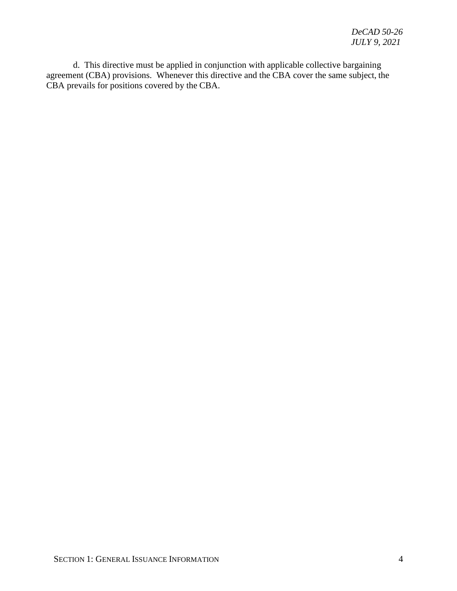d. This directive must be applied in conjunction with applicable collective bargaining agreement (CBA) provisions. Whenever this directive and the CBA cover the same subject, the CBA prevails for positions covered by the CBA.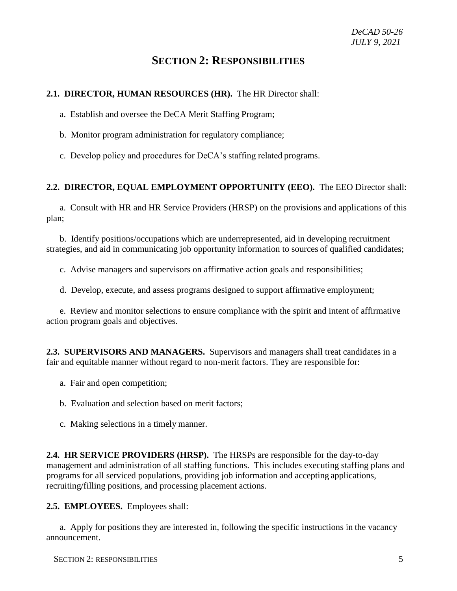### **SECTION 2: RESPONSIBILITIES**

#### <span id="page-4-1"></span><span id="page-4-0"></span>**2.1. DIRECTOR, HUMAN RESOURCES (HR).** The HR Director shall:

a. Establish and oversee the DeCA Merit Staffing Program;

b. Monitor program administration for regulatory compliance;

c. Develop policy and procedures for DeCA's staffing related programs.

#### <span id="page-4-2"></span>**2.2. DIRECTOR, EQUAL EMPLOYMENT OPPORTUNITY (EEO).** The EEO Director shall:

a. Consult with HR and HR Service Providers (HRSP) on the provisions and applications of this plan;

b. Identify positions/occupations which are underrepresented, aid in developing recruitment strategies, and aid in communicating job opportunity information to sources of qualified candidates;

c. Advise managers and supervisors on affirmative action goals and responsibilities;

d. Develop, execute, and assess programs designed to support affirmative employment;

e. Review and monitor selections to ensure compliance with the spirit and intent of affirmative action program goals and objectives.

<span id="page-4-3"></span>**2.3. SUPERVISORS AND MANAGERS.** Supervisors and managers shall treat candidates in a fair and equitable manner without regard to non-merit factors. They are responsible for:

- a. Fair and open competition;
- b. Evaluation and selection based on merit factors;
- c. Making selections in a timely manner.

<span id="page-4-4"></span>**2.4. HR SERVICE PROVIDERS (HRSP).** The HRSPs are responsible for the day-to-day management and administration of all staffing functions. This includes executing staffing plans and programs for all serviced populations, providing job information and accepting applications, recruiting/filling positions, and processing placement actions.

<span id="page-4-5"></span>**2.5. EMPLOYEES.** Employees shall:

a. Apply for positions they are interested in, following the specific instructions in the vacancy announcement.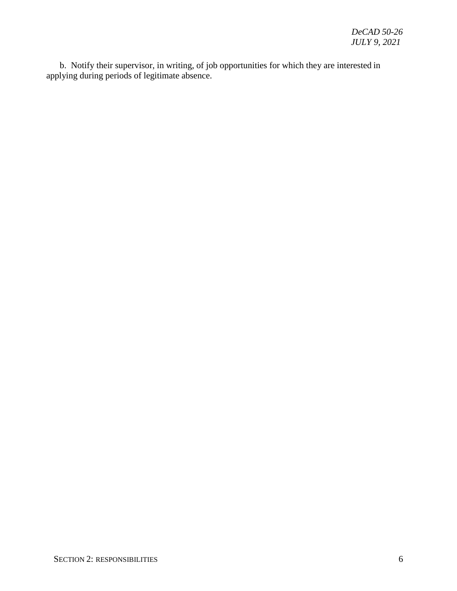b. Notify their supervisor, in writing, of job opportunities for which they are interested in applying during periods of legitimate absence.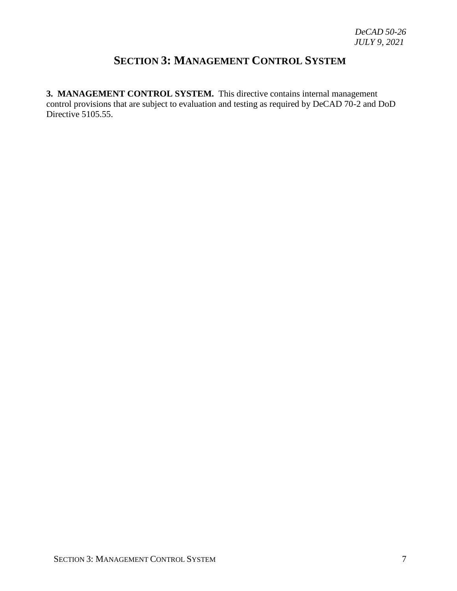# **SECTION 3: MANAGEMENT CONTROL SYSTEM**

<span id="page-6-0"></span>**3. MANAGEMENT CONTROL SYSTEM.** This directive contains internal management control provisions that are subject to evaluation and testing as required by DeCAD 70-2 and DoD Directive 5105.55.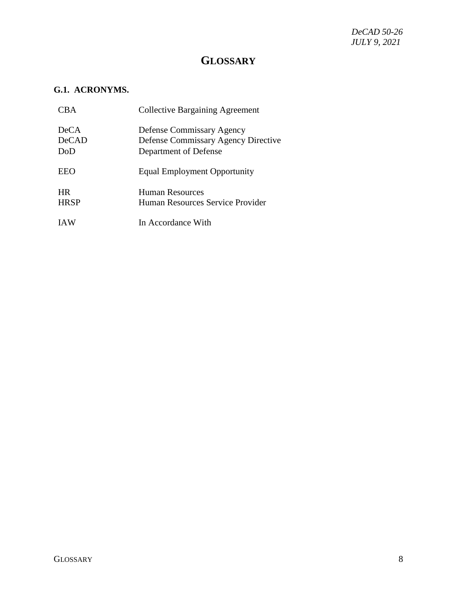## **GLOSSARY**

#### <span id="page-7-1"></span><span id="page-7-0"></span>**G.1. ACRONYMS.**

| CBA <sup>.</sup>                   | <b>Collective Bargaining Agreement</b>                                                           |
|------------------------------------|--------------------------------------------------------------------------------------------------|
| <b>DeCA</b><br><b>DeCAD</b><br>DoD | Defense Commissary Agency<br><b>Defense Commissary Agency Directive</b><br>Department of Defense |
| EEO                                | <b>Equal Employment Opportunity</b>                                                              |
| <b>HR</b><br><b>HRSP</b>           | Human Resources<br>Human Resources Service Provider                                              |
| <b>IAW</b>                         | In Accordance With                                                                               |